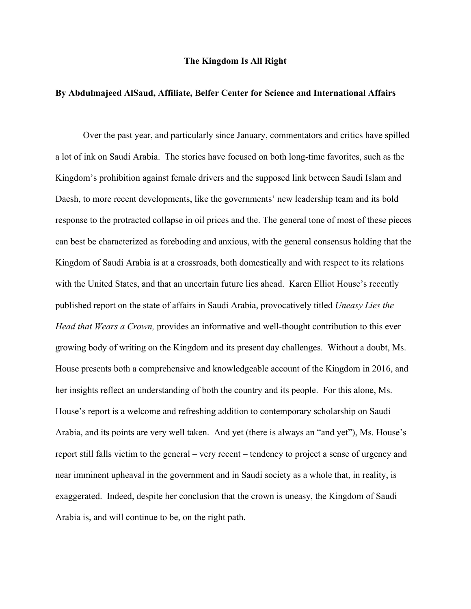## **The Kingdom Is All Right**

## **By Abdulmajeed AlSaud, Affiliate, Belfer Center for Science and International Affairs**

Over the past year, and particularly since January, commentators and critics have spilled a lot of ink on Saudi Arabia. The stories have focused on both long-time favorites, such as the Kingdom's prohibition against female drivers and the supposed link between Saudi Islam and Daesh, to more recent developments, like the governments' new leadership team and its bold response to the protracted collapse in oil prices and the. The general tone of most of these pieces can best be characterized as foreboding and anxious, with the general consensus holding that the Kingdom of Saudi Arabia is at a crossroads, both domestically and with respect to its relations with the United States, and that an uncertain future lies ahead. Karen Elliot House's recently published report on the state of affairs in Saudi Arabia, provocatively titled *Uneasy Lies the Head that Wears a Crown,* provides an informative and well-thought contribution to this ever growing body of writing on the Kingdom and its present day challenges. Without a doubt, Ms. House presents both a comprehensive and knowledgeable account of the Kingdom in 2016, and her insights reflect an understanding of both the country and its people. For this alone, Ms. House's report is a welcome and refreshing addition to contemporary scholarship on Saudi Arabia, and its points are very well taken. And yet (there is always an "and yet"), Ms. House's report still falls victim to the general – very recent – tendency to project a sense of urgency and near imminent upheaval in the government and in Saudi society as a whole that, in reality, is exaggerated. Indeed, despite her conclusion that the crown is uneasy, the Kingdom of Saudi Arabia is, and will continue to be, on the right path.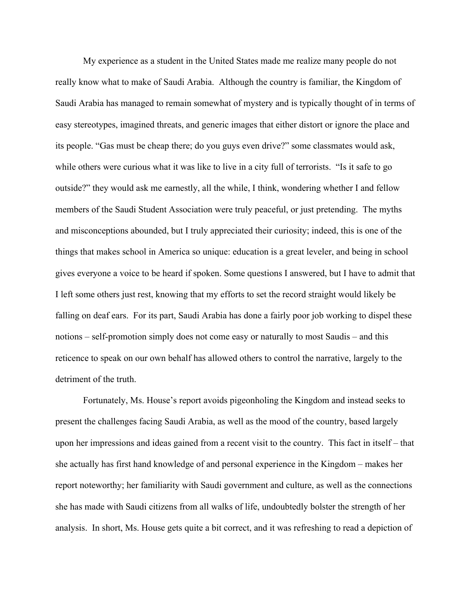My experience as a student in the United States made me realize many people do not really know what to make of Saudi Arabia. Although the country is familiar, the Kingdom of Saudi Arabia has managed to remain somewhat of mystery and is typically thought of in terms of easy stereotypes, imagined threats, and generic images that either distort or ignore the place and its people. "Gas must be cheap there; do you guys even drive?" some classmates would ask, while others were curious what it was like to live in a city full of terrorists. "Is it safe to go outside?" they would ask me earnestly, all the while, I think, wondering whether I and fellow members of the Saudi Student Association were truly peaceful, or just pretending. The myths and misconceptions abounded, but I truly appreciated their curiosity; indeed, this is one of the things that makes school in America so unique: education is a great leveler, and being in school gives everyone a voice to be heard if spoken. Some questions I answered, but I have to admit that I left some others just rest, knowing that my efforts to set the record straight would likely be falling on deaf ears. For its part, Saudi Arabia has done a fairly poor job working to dispel these notions – self-promotion simply does not come easy or naturally to most Saudis – and this reticence to speak on our own behalf has allowed others to control the narrative, largely to the detriment of the truth.

Fortunately, Ms. House's report avoids pigeonholing the Kingdom and instead seeks to present the challenges facing Saudi Arabia, as well as the mood of the country, based largely upon her impressions and ideas gained from a recent visit to the country. This fact in itself – that she actually has first hand knowledge of and personal experience in the Kingdom – makes her report noteworthy; her familiarity with Saudi government and culture, as well as the connections she has made with Saudi citizens from all walks of life, undoubtedly bolster the strength of her analysis. In short, Ms. House gets quite a bit correct, and it was refreshing to read a depiction of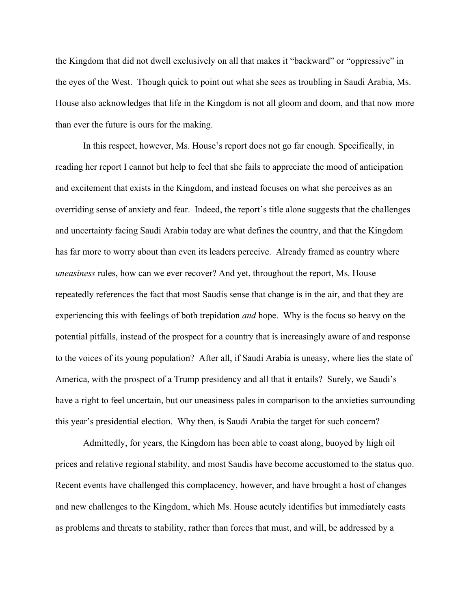the Kingdom that did not dwell exclusively on all that makes it "backward" or "oppressive" in the eyes of the West. Though quick to point out what she sees as troubling in Saudi Arabia, Ms. House also acknowledges that life in the Kingdom is not all gloom and doom, and that now more than ever the future is ours for the making.

In this respect, however, Ms. House's report does not go far enough. Specifically, in reading her report I cannot but help to feel that she fails to appreciate the mood of anticipation and excitement that exists in the Kingdom, and instead focuses on what she perceives as an overriding sense of anxiety and fear. Indeed, the report's title alone suggests that the challenges and uncertainty facing Saudi Arabia today are what defines the country, and that the Kingdom has far more to worry about than even its leaders perceive. Already framed as country where *uneasiness* rules, how can we ever recover? And yet, throughout the report, Ms. House repeatedly references the fact that most Saudis sense that change is in the air, and that they are experiencing this with feelings of both trepidation *and* hope. Why is the focus so heavy on the potential pitfalls, instead of the prospect for a country that is increasingly aware of and response to the voices of its young population? After all, if Saudi Arabia is uneasy, where lies the state of America, with the prospect of a Trump presidency and all that it entails? Surely, we Saudi's have a right to feel uncertain, but our uneasiness pales in comparison to the anxieties surrounding this year's presidential election. Why then, is Saudi Arabia the target for such concern?

Admittedly, for years, the Kingdom has been able to coast along, buoyed by high oil prices and relative regional stability, and most Saudis have become accustomed to the status quo. Recent events have challenged this complacency, however, and have brought a host of changes and new challenges to the Kingdom, which Ms. House acutely identifies but immediately casts as problems and threats to stability, rather than forces that must, and will, be addressed by a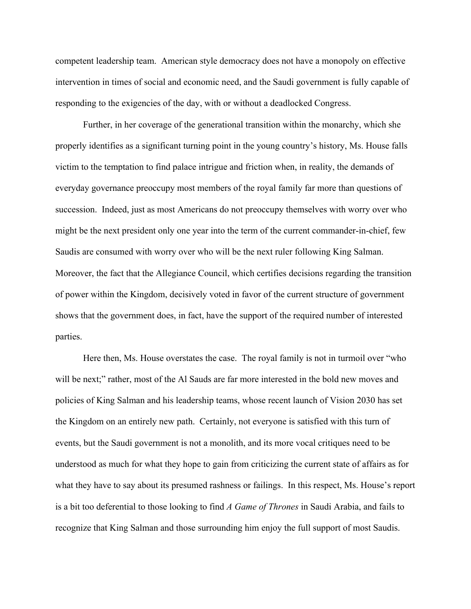competent leadership team. American style democracy does not have a monopoly on effective intervention in times of social and economic need, and the Saudi government is fully capable of responding to the exigencies of the day, with or without a deadlocked Congress.

Further, in her coverage of the generational transition within the monarchy, which she properly identifies as a significant turning point in the young country's history, Ms. House falls victim to the temptation to find palace intrigue and friction when, in reality, the demands of everyday governance preoccupy most members of the royal family far more than questions of succession. Indeed, just as most Americans do not preoccupy themselves with worry over who might be the next president only one year into the term of the current commander-in-chief, few Saudis are consumed with worry over who will be the next ruler following King Salman. Moreover, the fact that the Allegiance Council, which certifies decisions regarding the transition of power within the Kingdom, decisively voted in favor of the current structure of government shows that the government does, in fact, have the support of the required number of interested parties.

Here then, Ms. House overstates the case. The royal family is not in turmoil over "who will be next;" rather, most of the Al Sauds are far more interested in the bold new moves and policies of King Salman and his leadership teams, whose recent launch of Vision 2030 has set the Kingdom on an entirely new path. Certainly, not everyone is satisfied with this turn of events, but the Saudi government is not a monolith, and its more vocal critiques need to be understood as much for what they hope to gain from criticizing the current state of affairs as for what they have to say about its presumed rashness or failings. In this respect, Ms. House's report is a bit too deferential to those looking to find *A Game of Thrones* in Saudi Arabia, and fails to recognize that King Salman and those surrounding him enjoy the full support of most Saudis.